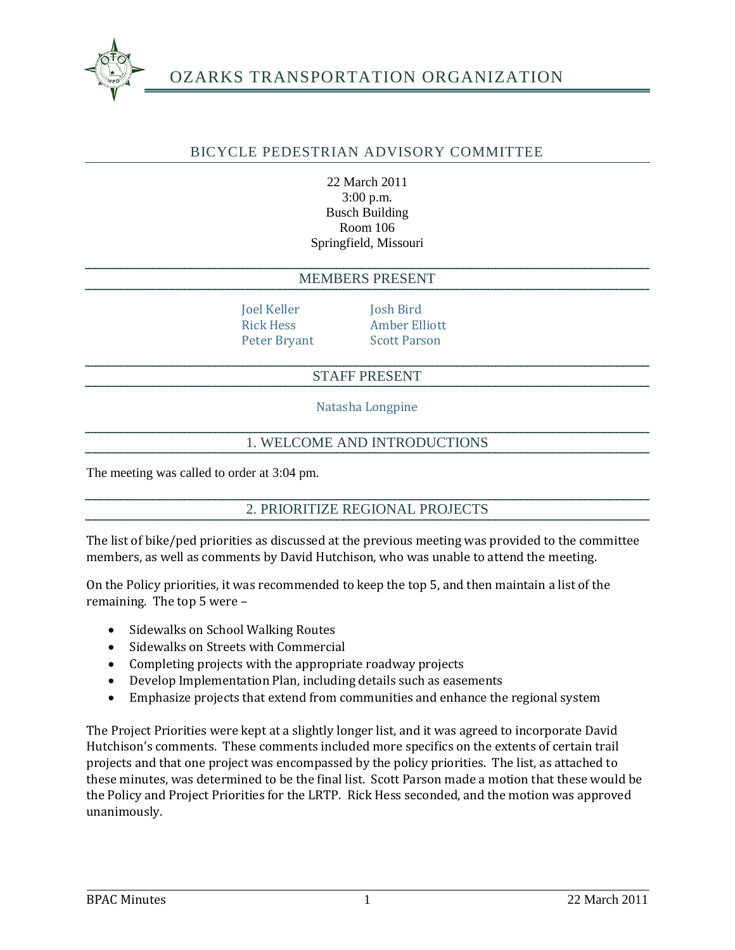

# OZARKS TRANSPORTATION ORGANIZATION

# BICYCLE PEDESTRIAN ADVISORY COMMITTEE

22 March 2011 3:00 p.m. Busch Building Room 106 Springfield, Missouri

#### MEMBERS PRESENT

Joel Keller Josh Bird

Rick Hess Amber Elliott Peter Bryant Scott Parson

#### STAFF PRESENT

Natasha Longpine

#### 1. WELCOME AND INTRODUCTIONS

The meeting was called to order at 3:04 pm.

2. PRIORITIZE REGIONAL PROJECTS

The list of bike/ped priorities as discussed at the previous meeting was provided to the committee members, as well as comments by David Hutchison, who was unable to attend the meeting.

On the Policy priorities, it was recommended to keep the top 5, and then maintain a list of the remaining. The top 5 were –

- Sidewalks on School Walking Routes
- Sidewalks on Streets with Commercial
- Completing projects with the appropriate roadway projects
- Develop Implementation Plan, including details such as easements
- Emphasize projects that extend from communities and enhance the regional system

The Project Priorities were kept at a slightly longer list, and it was agreed to incorporate David Hutchison's comments. These comments included more specifics on the extents of certain trail projects and that one project was encompassed by the policy priorities. The list, as attached to these minutes, was determined to be the final list. Scott Parson made a motion that these would be the Policy and Project Priorities for the LRTP. Rick Hess seconded, and the motion was approved unanimously.